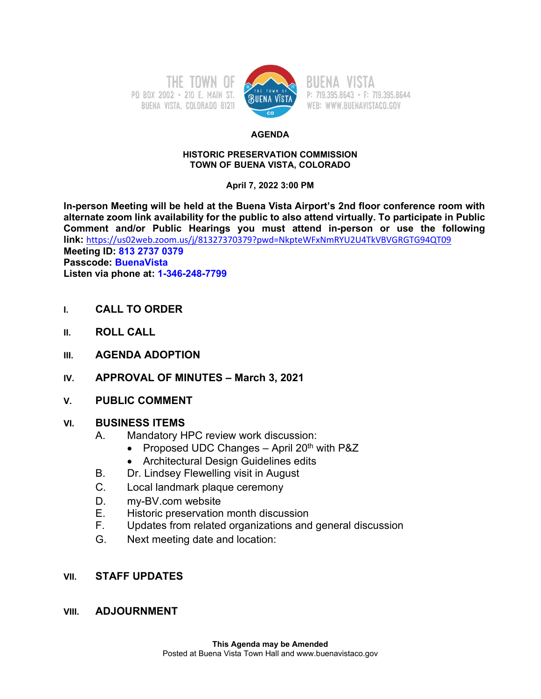PO BOX 2002 - 210 E. MAIN ST. BUENA VISTA, COLORADO 81211



P: 719.395.8643 · F: 719.395.8644 WEB: WWW.BUENAVISTACO.GOV

#### **AGENDA**

#### **HISTORIC PRESERVATION COMMISSION TOWN OF BUENA VISTA, COLORADO**

#### **April 7, 2022 3:00 PM**

**In-person Meeting will be held at the Buena Vista Airport's 2nd floor conference room with alternate zoom link availability for the public to also attend virtually. To participate in Public Comment and/or Public Hearings you must attend in-person or use the following link:** <https://us02web.zoom.us/j/81327370379?pwd=NkpteWFxNmRYU2U4TkVBVGRGTG94QT09> **Meeting ID: 813 2737 0379 Passcode: BuenaVista Listen via phone at: 1-346-248-7799**

- **I. CALL TO ORDER**
- **II. ROLL CALL**
- **III. AGENDA ADOPTION**
- **IV. APPROVAL OF MINUTES – March 3, 2021**
- **V. PUBLIC COMMENT**

# **VI. BUSINESS ITEMS**

- A. Mandatory HPC review work discussion:
	- Proposed UDC Changes  $-$  April 20<sup>th</sup> with P&Z
	- Architectural Design Guidelines edits
- B. Dr. Lindsey Flewelling visit in August
- C. Local landmark plaque ceremony
- D. my-BV.com website
- E. Historic preservation month discussion
- F. Updates from related organizations and general discussion
- G. Next meeting date and location:

# **VII. STAFF UPDATES**

# **VIII. ADJOURNMENT**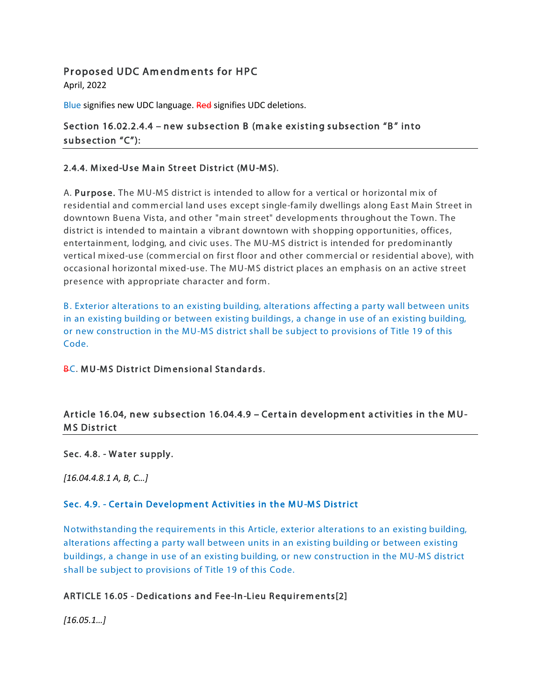# Proposed UDC Amendments for HPC

April, 2022

Blue signifies new UDC language. Red signifies UDC deletions.

# Section 16.02.2.4.4 – new subsection B (make existing subsection  $\textdegree B\textdegree$  into subsection "C"):

# 2.4.4. Mixed-Use Main Street District (MU-MS).

A. Purpose. The MU-MS district is intended to allow for a vertical or horizontal mix of residential and commercial land uses except single-family dwellings along East Main Street in downtown Buena Vista, and other "main street" developments throughout the Town. The district is intended to maintain a vibrant downtown with shopping opportunities, offices, entertainm ent, lodging, and civic uses. The MU-MS district is intended for predominantly vertical mixed-use (commercial on first floor and other commercial or residential above), with occasional horizontal mixed-use. The MU-MS district places an emphasis on an active street presence with appropriate character and form.

B . Exterior alterations to an existing building, alterations affecting a party wall between units in an existing building or between existing buildings, a change in use of an existing building, or new construction in the MU-MS district shall be subject to provisions of Title 19 of this Code.

#### **BC. MU-MS District Dimensional Standards.**

# Article 16.04, new subsection 16.04.4.9 – Certain development activities in the MU-MS District

Sec. 4.8. - Water supply.

*[16.04.4.8.1 A, B, C…]*

#### Sec. 4.9. - Certain Development Activities in the MU-MS District

Notwithstanding the requirem ents in this Article, exterior alterations to an existing building, alterations affecting a party wall between units in an existing building or between existing buildings, a change in use of an existing building, or new construction in the MU-MS district shall be subject to provisions of Title 19 of this Code.

#### ARTICLE 16.05 - Dedications and Fee-In-Lieu Requirements[2]

*[16.05.1…]*